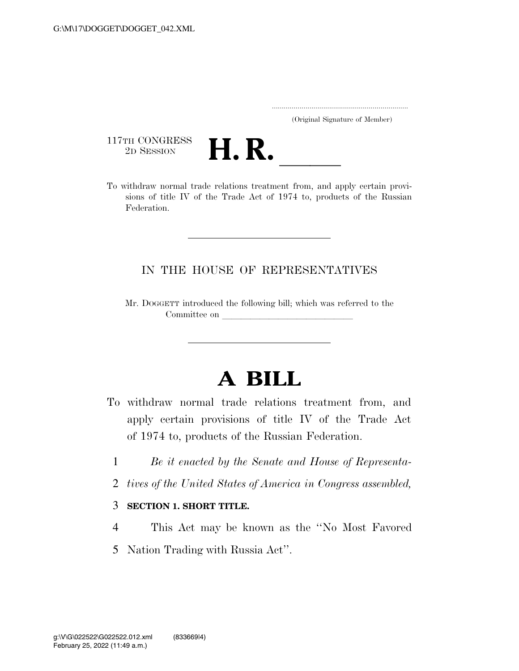..................................................................... (Original Signature of Member)

117TH CONGRESS<br>2D SESSION



117TH CONGRESS<br>
2D SESSION<br>
To withdraw normal trade relations treatment from, and apply certain provisions of title IV of the Trade Act of 1974 to, products of the Russian Federation.

## IN THE HOUSE OF REPRESENTATIVES

Mr. DOGGETT introduced the following bill; which was referred to the Committee on

## **A BILL**

- To withdraw normal trade relations treatment from, and apply certain provisions of title IV of the Trade Act of 1974 to, products of the Russian Federation.
	- 1 *Be it enacted by the Senate and House of Representa-*
	- 2 *tives of the United States of America in Congress assembled,*

## 3 **SECTION 1. SHORT TITLE.**

- 4 This Act may be known as the ''No Most Favored
- 5 Nation Trading with Russia Act''.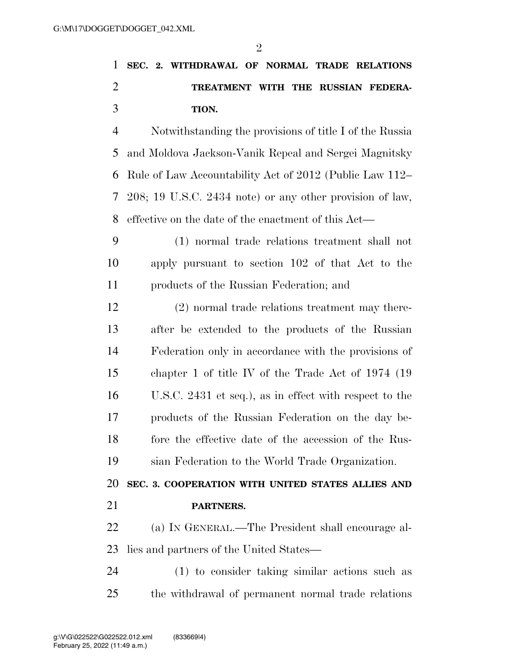$\mathfrak{D}$ 

## **SEC. 2. WITHDRAWAL OF NORMAL TRADE RELATIONS TREATMENT WITH THE RUSSIAN FEDERA-TION.**

 Notwithstanding the provisions of title I of the Russia and Moldova Jackson-Vanik Repeal and Sergei Magnitsky Rule of Law Accountability Act of 2012 (Public Law 112– 208; 19 U.S.C. 2434 note) or any other provision of law, effective on the date of the enactment of this Act—

 (1) normal trade relations treatment shall not apply pursuant to section 102 of that Act to the products of the Russian Federation; and

 (2) normal trade relations treatment may there- after be extended to the products of the Russian Federation only in accordance with the provisions of chapter 1 of title IV of the Trade Act of 1974 (19 U.S.C. 2431 et seq.), as in effect with respect to the products of the Russian Federation on the day be- fore the effective date of the accession of the Rus-sian Federation to the World Trade Organization.

**SEC. 3. COOPERATION WITH UNITED STATES ALLIES AND** 

**PARTNERS.** 

 (a) IN GENERAL.—The President shall encourage al-lies and partners of the United States—

 (1) to consider taking similar actions such as the withdrawal of permanent normal trade relations